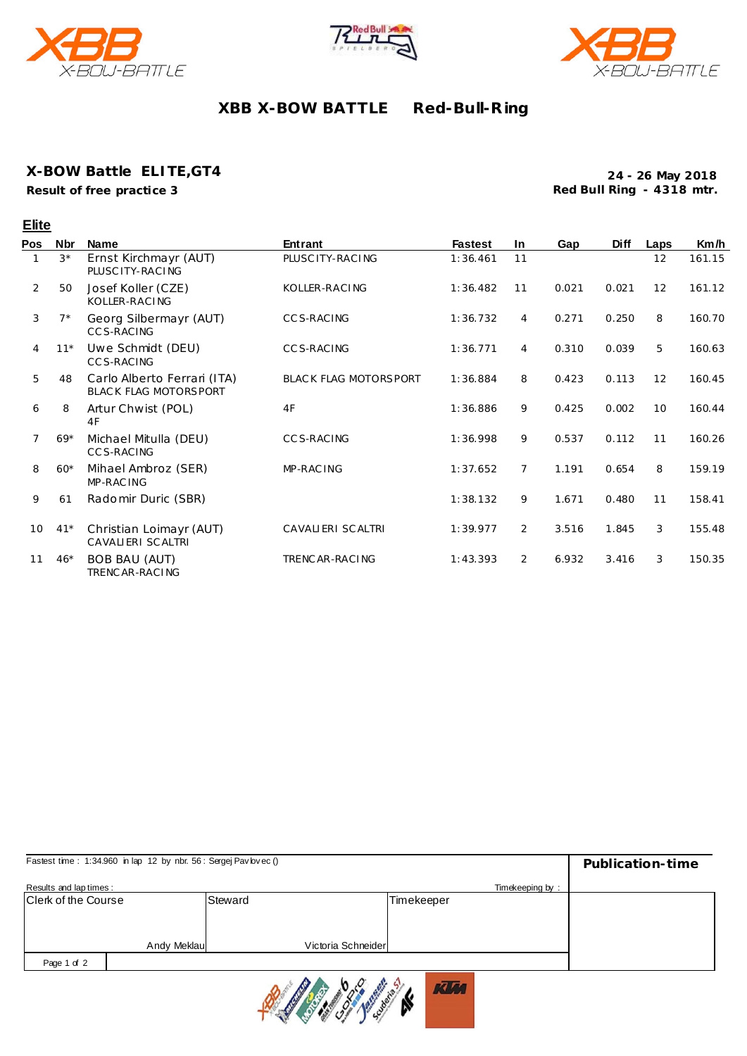





## **XBB X-BOW BATTLE Red-Bull-R ing**

### **X-BOW Battle ELITE,GT4**

**Result of free practice 3**

**24 - 26 May 2018 Red Bull Ring - 4318 mtr.**

|     | <b>Elite</b> |                                                      |                              |                |                |       |             |      |        |
|-----|--------------|------------------------------------------------------|------------------------------|----------------|----------------|-------|-------------|------|--------|
| Pos | Nbr          | <b>Name</b>                                          | <b>Entrant</b>               | <b>Fastest</b> | <b>In</b>      | Gap   | <b>Diff</b> | Laps | Km/h   |
|     | $3*$         | Ernst Kirchmayr (AUT)<br>PLUSC ITY-RACING            | PLUSC ITY-RACING             | 1:36.461       | 11             |       |             | 12   | 161.15 |
| 2   | 50           | Josef Koller (CZE)<br>KOLLER-RACING                  | KOLLER-RACING                | 1:36.482       | 11             | 0.021 | 0.021       | 12   | 161.12 |
| 3   | $7*$         | Georg Silbermayr (AUT)<br>CCS-RACING                 | <b>CCS-RACING</b>            | 1:36.732       | 4              | 0.271 | 0.250       | 8    | 160.70 |
| 4   | $11*$        | Uwe Schmidt (DEU)<br>CCS-RACING                      | <b>CCS-RACING</b>            | 1:36.771       | $\overline{4}$ | 0.310 | 0.039       | 5    | 160.63 |
| 5   | 48           | Carlo Alberto Ferrari (ITA)<br>BLACK FLAG MOTORSPORT | <b>BLACK FLAG MOTORSPORT</b> | 1:36.884       | 8              | 0.423 | 0.113       | 12   | 160.45 |
| 6   | 8            | Artur Chwist (POL)<br>4F                             | 4F                           | 1:36.886       | 9              | 0.425 | 0.002       | 10   | 160.44 |
| 7   | $69*$        | Michael Mitulla (DEU)<br><b>CCS-RACING</b>           | CCS-RACING                   | 1:36.998       | 9              | 0.537 | 0.112       | 11   | 160.26 |
| 8   | $60*$        | Mihael Ambroz (SER)<br>MP-RAC ING                    | MP-RAC ING                   | 1:37.652       | $\overline{7}$ | 1.191 | 0.654       | 8    | 159.19 |
| 9   | 61           | Radomir Duric (SBR)                                  |                              | 1:38.132       | 9              | 1.671 | 0.480       | 11   | 158.41 |
| 10  | $41*$        | Christian Loimayr (AUT)<br>CAVALIERI SCALTRI         | CAVALIERI SCALTRI            | 1:39.977       | 2              | 3.516 | 1.845       | 3    | 155.48 |
| 11  | $46*$        | <b>BOB BAU (AUT)</b><br>TRENCAR-RACING               | TRENCAR-RACING               | 1:43.393       | 2              | 6.932 | 3.416       | 3    | 150.35 |

| Fastest time: 1:34.960 in lap 12 by nbr. 56: Sergej Pav lovec () | Publication-time |                    |                 |  |
|------------------------------------------------------------------|------------------|--------------------|-----------------|--|
| Results and lap times:                                           |                  |                    | Timekeeping by: |  |
| <b>Clerk of the Course</b>                                       |                  | Steward            | Timekeeper      |  |
|                                                                  |                  |                    |                 |  |
|                                                                  |                  |                    |                 |  |
|                                                                  | Andy Meklaul     | Victoria Schneider |                 |  |
| Page 1 of 2                                                      |                  |                    |                 |  |